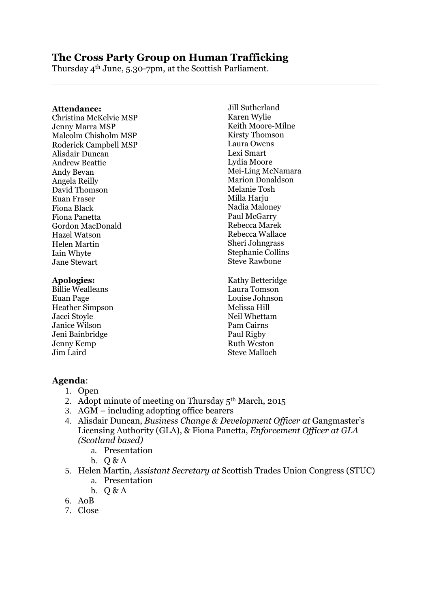# **The Cross Party Group on Human Trafficking**

Thursday 4th June, 5.30-7pm, at the Scottish Parliament.

#### **Attendance:**

Christina McKelvie MSP Jenny Marra MSP Malcolm Chisholm MSP Roderick Campbell MSP Alisdair Duncan Andrew Beattie Andy Bevan Angela Reilly David Thomson Euan Fraser Fiona Black Fiona Panetta Gordon MacDonald Hazel Watson Helen Martin Iain Whyte Jane Stewart

#### **Apologies:**

Billie Wealleans Euan Page Heather Simpson Jacci Stoyle Janice Wilson Jeni Bainbridge Jenny Kemp Jim Laird

Jill Sutherland Karen Wylie Keith Moore-Milne Kirsty Thomson Laura Owens Lexi Smart Lydia Moore Mei-Ling McNamara Marion Donaldson Melanie Tosh Milla Harju Nadia Maloney Paul McGarry Rebecca Marek Rebecca Wallace Sheri Johngrass Stephanie Collins Steve Rawbone

Kathy Betteridge Laura Tomson Louise Johnson Melissa Hill Neil Whettam Pam Cairns Paul Rigby Ruth Weston Steve Malloch

### **Agenda**:

### 1. Open

- 2. Adopt minute of meeting on Thursday  $5<sup>th</sup> March$ , 2015
- 3. AGM including adopting office bearers
- 4. Alisdair Duncan, *Business Change & Development Officer at* Gangmaster's Licensing Authority (GLA), & Fiona Panetta, *Enforcement Officer at GLA (Scotland based)*
	- a. Presentation
	- b. Q & A
- 5. Helen Martin, *Assistant Secretary at* Scottish Trades Union Congress (STUC) a. Presentation
	- b.  $O & A$
- 6. AoB
- 7. Close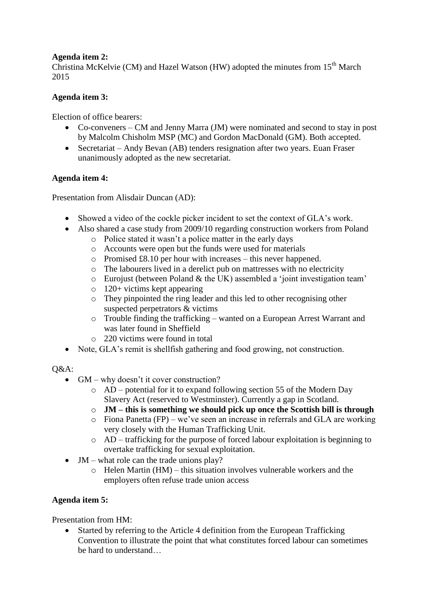## **Agenda item 2:**

Christina McKelvie (CM) and Hazel Watson (HW) adopted the minutes from  $15<sup>th</sup>$  March 2015

## **Agenda item 3:**

Election of office bearers:

- Co-conveners CM and Jenny Marra (JM) were nominated and second to stay in post by Malcolm Chisholm MSP (MC) and Gordon MacDonald (GM). Both accepted.
- Secretariat Andy Bevan (AB) tenders resignation after two years. Euan Fraser unanimously adopted as the new secretariat.

### **Agenda item 4:**

Presentation from Alisdair Duncan (AD):

- Showed a video of the cockle picker incident to set the context of GLA's work.
- Also shared a case study from 2009/10 regarding construction workers from Poland
	- o Police stated it wasn't a police matter in the early days
	- o Accounts were open but the funds were used for materials
	- o Promised £8.10 per hour with increases this never happened.
	- o The labourers lived in a derelict pub on mattresses with no electricity
	- o Eurojust (between Poland & the UK) assembled a 'joint investigation team'
	- o 120+ victims kept appearing
	- o They pinpointed the ring leader and this led to other recognising other suspected perpetrators & victims
	- o Trouble finding the trafficking wanted on a European Arrest Warrant and was later found in Sheffield
	- o 220 victims were found in total
- Note, GLA's remit is shellfish gathering and food growing, not construction.

#### $O&A$ :

- GM why doesn't it cover construction?
	- o AD potential for it to expand following section 55 of the Modern Day Slavery Act (reserved to Westminster). Currently a gap in Scotland.
	- o **JM – this is something we should pick up once the Scottish bill is through**
	- o Fiona Panetta (FP) we've seen an increase in referrals and GLA are working very closely with the Human Trafficking Unit.
	- o AD trafficking for the purpose of forced labour exploitation is beginning to overtake trafficking for sexual exploitation.
- $\bullet$  JM what role can the trade unions play?
	- $\circ$  Helen Martin (HM) this situation involves vulnerable workers and the employers often refuse trade union access

### **Agenda item 5:**

Presentation from HM:

 Started by referring to the Article 4 definition from the European Trafficking Convention to illustrate the point that what constitutes forced labour can sometimes be hard to understand…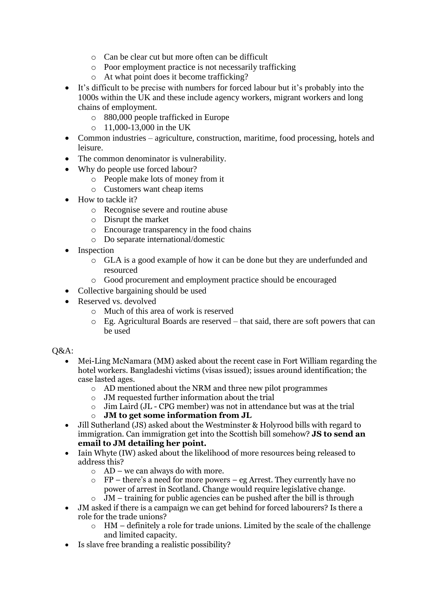- o Can be clear cut but more often can be difficult
- o Poor employment practice is not necessarily trafficking
- o At what point does it become trafficking?
- It's difficult to be precise with numbers for forced labour but it's probably into the 1000s within the UK and these include agency workers, migrant workers and long chains of employment.
	- o 880,000 people trafficked in Europe
	- o 11,000-13,000 in the UK
- Common industries agriculture, construction, maritime, food processing, hotels and leisure.
- The common denominator is vulnerability.
- Why do people use forced labour?
	- o People make lots of money from it
	- o Customers want cheap items
- How to tackle it?
	- o Recognise severe and routine abuse
	- o Disrupt the market
	- o Encourage transparency in the food chains
	- o Do separate international/domestic
- Inspection
	- o GLA is a good example of how it can be done but they are underfunded and resourced
	- o Good procurement and employment practice should be encouraged
- Collective bargaining should be used
- Reserved vs. devolved
	- o Much of this area of work is reserved
	- o Eg. Agricultural Boards are reserved that said, there are soft powers that can be used

Q&A:

- Mei-Ling McNamara (MM) asked about the recent case in Fort William regarding the hotel workers. Bangladeshi victims (visas issued); issues around identification; the case lasted ages.
	- o AD mentioned about the NRM and three new pilot programmes
	- o JM requested further information about the trial
	- o Jim Laird (JL CPG member) was not in attendance but was at the trial
	- o **JM to get some information from JL**
- Jill Sutherland (JS) asked about the Westminster & Holyrood bills with regard to immigration. Can immigration get into the Scottish bill somehow? **JS to send an email to JM detailing her point.**
- Iain Whyte (IW) asked about the likelihood of more resources being released to address this?
	- $\circ$  AD we can always do with more.
	- o FP there's a need for more powers eg Arrest. They currently have no power of arrest in Scotland. Change would require legislative change.
	- $\circ$  JM training for public agencies can be pushed after the bill is through
- JM asked if there is a campaign we can get behind for forced labourers? Is there a role for the trade unions?
	- o HM definitely a role for trade unions. Limited by the scale of the challenge and limited capacity.
- Is slave free branding a realistic possibility?